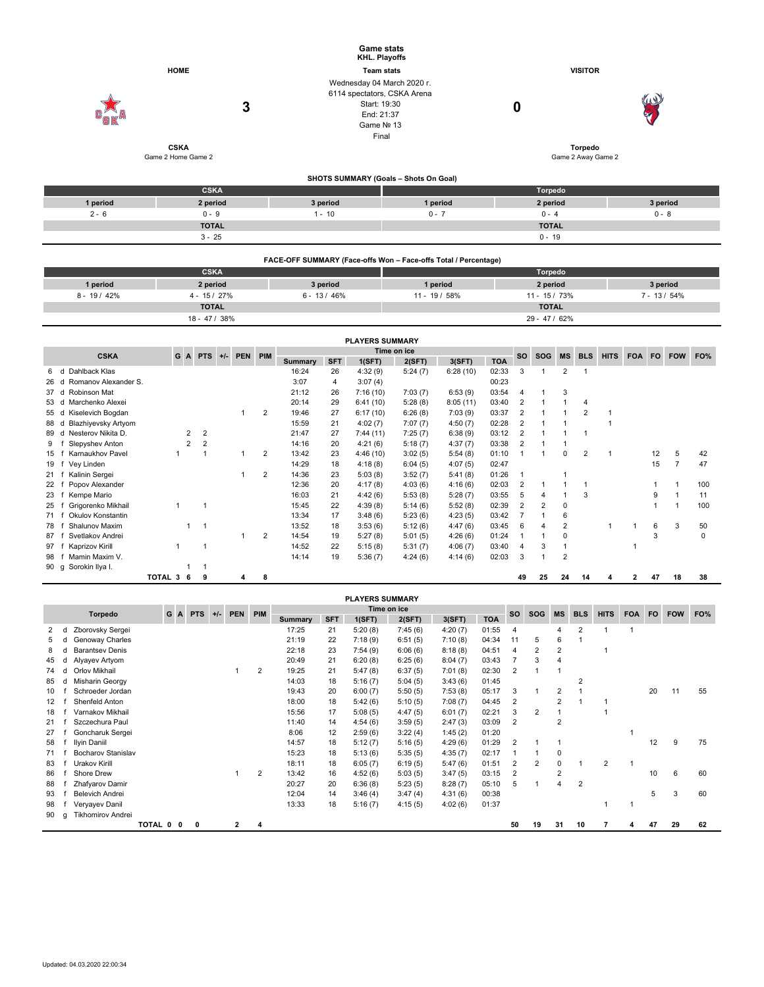|                                 |                                   |          | <b>Game stats</b><br>KHL. Playoffs                                                                             |                |                                      |  |  |  |  |  |
|---------------------------------|-----------------------------------|----------|----------------------------------------------------------------------------------------------------------------|----------------|--------------------------------------|--|--|--|--|--|
|                                 | <b>HOME</b>                       |          | <b>Team stats</b>                                                                                              | <b>VISITOR</b> |                                      |  |  |  |  |  |
| $\mathbf{e}^\prime_\mathbf{SK}$ | 3                                 |          | Wednesday 04 March 2020 r.<br>6114 spectators, CSKA Arena<br>Start: 19:30<br>End: 21:37<br>Game Nº 13<br>Final | 0              | W<br>57                              |  |  |  |  |  |
|                                 | <b>CSKA</b><br>Game 2 Home Game 2 |          |                                                                                                                |                | <b>Torpedo</b><br>Game 2 Away Game 2 |  |  |  |  |  |
|                                 |                                   |          | SHOTS SUMMARY (Goals - Shots On Goal)                                                                          |                |                                      |  |  |  |  |  |
|                                 | <b>CSKA</b>                       |          |                                                                                                                | Torpedo        |                                      |  |  |  |  |  |
| 1 period                        | 2 period                          | 3 period | 1 period                                                                                                       | 2 period       | 3 period                             |  |  |  |  |  |
| $2 - 6$                         | $0 - 9$                           | $1 - 10$ | $0 - 7$                                                                                                        | $0 - 4$        | $0 - 8$                              |  |  |  |  |  |
|                                 | <b>TOTAL</b>                      |          |                                                                                                                | <b>TOTAL</b>   |                                      |  |  |  |  |  |
|                                 | $3 - 25$                          |          |                                                                                                                | $0 - 19$       |                                      |  |  |  |  |  |

|                | FACE-OFF SUMMARY (Face-offs Won - Face-offs Total / Percentage) |              |               |               |                 |  |  |  |  |  |  |  |  |  |  |
|----------------|-----------------------------------------------------------------|--------------|---------------|---------------|-----------------|--|--|--|--|--|--|--|--|--|--|
|                | <b>CSKA</b>                                                     |              |               | Torpedo       |                 |  |  |  |  |  |  |  |  |  |  |
| 1 period       | 2 period                                                        | 3 period     | 1 period      | 2 period      | 3 period        |  |  |  |  |  |  |  |  |  |  |
| $8 - 19 / 42%$ | $4 - 15/27%$                                                    | $6 - 13/46%$ | $11 - 19/58%$ | $11 - 15/73%$ | $7 - 13 / 54\%$ |  |  |  |  |  |  |  |  |  |  |
|                | <b>TOTAL</b>                                                    |              |               | <b>TOTAL</b>  |                 |  |  |  |  |  |  |  |  |  |  |
|                | 18 - 47 / 38%                                                   |              |               | $29 - 47/62%$ |                 |  |  |  |  |  |  |  |  |  |  |

|                                       |         |                |            |       |         |                |         |            | <b>PLAYERS SUMMARY</b> |             |          |            |                |            |                |                |              |            |     |            |     |
|---------------------------------------|---------|----------------|------------|-------|---------|----------------|---------|------------|------------------------|-------------|----------|------------|----------------|------------|----------------|----------------|--------------|------------|-----|------------|-----|
| <b>CSKA</b>                           |         | G A            | <b>PTS</b> | $+/-$ | PEN PIM |                |         |            |                        | Time on ice |          |            | <b>SO</b>      | <b>SOG</b> | <b>MS</b>      | <b>BLS</b>     | <b>HITS</b>  | <b>FOA</b> | FO. | <b>FOW</b> | FO% |
|                                       |         |                |            |       |         |                | Summary | <b>SFT</b> | 1(SFT)                 | 2(SFT)      | 3(SFT)   | <b>TOA</b> |                |            |                |                |              |            |     |            |     |
| Dahlback Klas<br>6.<br>d              |         |                |            |       |         |                | 16:24   | 26         | 4:32(9)                | 5:24(7)     | 6:28(10) | 02:33      | 3              |            | $\overline{2}$ |                |              |            |     |            |     |
| Romanov Alexander S.<br>26<br>d       |         |                |            |       |         |                | 3:07    | 4          | 3:07(4)                |             |          | 00:23      |                |            |                |                |              |            |     |            |     |
| Robinson Mat<br>37<br>d               |         |                |            |       |         |                | 21:12   | 26         | 7:16(10)               | 7:03(7)     | 6:53(9)  | 03:54      |                |            | 3              |                |              |            |     |            |     |
| Marchenko Alexei<br>53<br>d           |         |                |            |       |         |                | 20:14   | 29         | 6:41(10)               | 5:28(8)     | 8:05(11) | 03:40      | 2              |            |                | 4              |              |            |     |            |     |
| Kiselevich Bogdan<br>55 d             |         |                |            |       |         | 2              | 19:46   | 27         | 6:17(10)               | 6:26(8)     | 7:03(9)  | 03:37      | $\overline{2}$ |            |                | 2              |              |            |     |            |     |
| <b>Blazhiyevsky Artyom</b><br>88<br>d |         |                |            |       |         |                | 15:59   | 21         | 4:02(7)                | 7:07(7)     | 4:50(7)  | 02:28      | $\overline{2}$ |            |                |                |              |            |     |            |     |
| Nesterov Nikita D.<br>89<br>d         |         | 2              | 2          |       |         |                | 21:47   | 27         | 7:44(11)               | 7:25(7)     | 6:38(9)  | 03:12      | $\overline{2}$ |            |                |                |              |            |     |            |     |
| Slepyshev Anton<br>9                  |         | $\overline{2}$ | 2          |       |         |                | 14:16   | 20         | 4:21(6)                | 5:18(7)     | 4:37(7)  | 03:38      | $\overline{2}$ |            |                |                |              |            |     |            |     |
| Karnaukhov Pavel<br>15                |         |                |            |       |         | $\overline{2}$ | 13:42   | 23         | 4:46(10)               | 3:02(5)     | 5:54(8)  | 01:10      |                |            | 0              | $\overline{2}$ |              |            | 12  | 5          | 42  |
| Vey Linden<br>19                      |         |                |            |       |         |                | 14:29   | 18         | 4:18(8)                | 6:04(5)     | 4:07(5)  | 02:47      |                |            |                |                |              |            | 15  |            | 47  |
| Kalinin Sergei<br>21                  |         |                |            |       |         | 2              | 14:36   | 23         | 5:03(8)                | 3:52(7)     | 5:41(8)  | 01:26      |                |            |                |                |              |            |     |            |     |
| Popov Alexander<br>22                 |         |                |            |       |         |                | 12:36   | 20         | 4:17(8)                | 4:03(6)     | 4:16(6)  | 02:03      | $\overline{2}$ |            |                |                |              |            |     |            | 100 |
| Kempe Mario<br>23                     |         |                |            |       |         |                | 16:03   | 21         | 4:42(6)                | 5:53(8)     | 5:28(7)  | 03:55      | 5              |            |                | 3              |              |            | 9   |            | 11  |
| Grigorenko Mikhail<br>25              |         |                |            |       |         |                | 15:45   | 22         | 4:39(8)                | 5:14(6)     | 5:52(8)  | 02:39      | 2              | 2          | 0              |                |              |            |     |            | 100 |
| Okulov Konstantin<br>71               |         |                |            |       |         |                | 13:34   | 17         | 3:48(6)                | 5:23(6)     | 4:23(5)  | 03:42      |                |            | 6              |                |              |            |     |            |     |
| Shalunov Maxim<br>78                  |         |                |            |       |         |                | 13:52   | 18         | 3:53(6)                | 5:12(6)     | 4:47(6)  | 03:45      | 6              |            | $\overline{2}$ |                | $\mathbf{1}$ |            | 6   | 3          | 50  |
| Svetlakov Andrei<br>87                |         |                |            |       |         | 2              | 14:54   | 19         | 5:27(8)                | 5:01(5)     | 4:26(6)  | 01:24      |                |            | 0              |                |              |            | 3   |            | 0   |
| Kaprizov Kirill<br>97                 |         |                |            |       |         |                | 14:52   | 22         | 5:15(8)                | 5:31(7)     | 4:06(7)  | 03:40      | 4              | 3          |                |                |              |            |     |            |     |
| Mamin Maxim V.<br>98                  |         |                |            |       |         |                | 14:14   | 19         | 5:36(7)                | 4:24(6)     | 4:14(6)  | 02:03      | 3              |            | $\overline{2}$ |                |              |            |     |            |     |
| Sorokin Ilya I.<br>90 g               |         |                |            |       |         |                |         |            |                        |             |          |            |                |            |                |                |              |            |     |            |     |
|                                       | TOTAL 3 | -6             | 9          |       | 4       | 8              |         |            |                        |             |          |            | 49             | 25         | 24             | 14             |              | 2          | 47  | 18         | 38  |

|    | <b>PLAYERS SUMMARY</b> |                           |         |     |             |            |       |              |     |         |            |         |             |         |            |                |                |                |                |             |            |     |            |     |
|----|------------------------|---------------------------|---------|-----|-------------|------------|-------|--------------|-----|---------|------------|---------|-------------|---------|------------|----------------|----------------|----------------|----------------|-------------|------------|-----|------------|-----|
|    |                        | <b>Torpedo</b>            |         | G A |             | <b>PTS</b> | $+/-$ | <b>PEN</b>   | PIM |         |            |         | Time on ice |         |            | <b>SO</b>      | <b>SOG</b>     | <b>MS</b>      | <b>BLS</b>     | <b>HITS</b> | <b>FOA</b> | FO. | <b>FOW</b> | FO% |
|    |                        |                           |         |     |             |            |       |              |     | Summary | <b>SFT</b> | 1(SFT)  | 2(SFT)      | 3(SFT)  | <b>TOA</b> |                |                |                |                |             |            |     |            |     |
|    |                        | Zborovsky Sergei          |         |     |             |            |       |              |     | 17:25   | 21         | 5:20(8) | 7:45(6)     | 4:20(7) | 01:55      | 4              |                | 4              | $\overline{2}$ |             |            |     |            |     |
|    |                        | Genoway Charles           |         |     |             |            |       |              |     | 21:19   | 22         | 7:18(9) | 6:51(5)     | 7:10(8) | 04:34      | 11             | 5              | 6              |                |             |            |     |            |     |
| 8  |                        | <b>Barantsey Denis</b>    |         |     |             |            |       |              |     | 22:18   | 23         | 7:54(9) | 6:06(6)     | 8:18(8) | 04:51      | $\overline{4}$ | 2              | $\overline{2}$ |                |             |            |     |            |     |
| 45 | d                      | Alyayev Artyom            |         |     |             |            |       |              |     | 20:49   | 21         | 6:20(8) | 6:25(6)     | 8:04(7) | 03:43      |                | 3              | 4              |                |             |            |     |            |     |
| 74 | d                      | Orlov Mikhail             |         |     |             |            |       |              | 2   | 19:25   | 21         | 5:47(8) | 6:37(5)     | 7:01(8) | 02:30      | $\overline{2}$ |                |                |                |             |            |     |            |     |
| 85 | d                      | Misharin Georgy           |         |     |             |            |       |              |     | 14:03   | 18         | 5:16(7) | 5:04(5)     | 3:43(6) | 01:45      |                |                |                | 2              |             |            |     |            |     |
| 10 |                        | Schroeder Jordan          |         |     |             |            |       |              |     | 19:43   | 20         | 6:00(7) | 5:50(5)     | 7:53(8) | 05:17      | 3              |                | $\overline{2}$ |                |             |            | 20  | 11         | 55  |
| 12 |                        | Shenfeld Anton            |         |     |             |            |       |              |     | 18:00   | 18         | 5:42(6) | 5:10(5)     | 7:08(7) | 04:45      | $\overline{2}$ |                | 2              |                |             |            |     |            |     |
| 18 |                        | Varnakov Mikhail          |         |     |             |            |       |              |     | 15:56   | 17         | 5:08(5) | 4:47(5)     | 6:01(7) | 02:21      | 3              | $\overline{2}$ |                |                |             |            |     |            |     |
| 21 |                        | Szczechura Paul           |         |     |             |            |       |              |     | 11:40   | 14         | 4:54(6) | 3:59(5)     | 2:47(3) | 03:09      | $\overline{2}$ |                | $\overline{2}$ |                |             |            |     |            |     |
| 27 |                        | Goncharuk Sergei          |         |     |             |            |       |              |     | 8:06    | 12         | 2:59(6) | 3:22(4)     | 1:45(2) | 01:20      |                |                |                |                |             |            |     |            |     |
| 58 |                        | Ilyin Daniil              |         |     |             |            |       |              |     | 14:57   | 18         | 5:12(7) | 5:16(5)     | 4:29(6) | 01:29      | $\overline{2}$ |                |                |                |             |            | 12  | 9          | 75  |
| 71 |                        | <b>Bocharov Stanislav</b> |         |     |             |            |       |              |     | 15:23   | 18         | 5:13(6) | 5:35(5)     | 4:35(7) | 02:17      |                |                | 0              |                |             |            |     |            |     |
| 83 |                        | Urakov Kirill             |         |     |             |            |       |              |     | 18:11   | 18         | 6:05(7) | 6:19(5)     | 5:47(6) | 01:51      | $\overline{2}$ | $\overline{2}$ | 0              |                | 2           |            |     |            |     |
| 86 |                        | Shore Drew                |         |     |             |            |       |              | 2   | 13:42   | 16         | 4:52(6) | 5:03(5)     | 3:47(5) | 03:15      | $\overline{2}$ |                | $\overline{2}$ |                |             |            | 10  | 6          | 60  |
| 88 |                        | Zhafyarov Damir           |         |     |             |            |       |              |     | 20:27   | 20         | 6:36(8) | 5:23(5)     | 8:28(7) | 05:10      | 5              |                | 4              | 2              |             |            |     |            |     |
| 93 |                        | Belevich Andrei           |         |     |             |            |       |              |     | 12:04   | 14         | 3:46(4) | 3:47(4)     | 4:31(6) | 00:38      |                |                |                |                |             |            | 5   | 3          | 60  |
| 98 |                        | Veryayev Danil            |         |     |             |            |       |              |     | 13:33   | 18         | 5:16(7) | 4:15(5)     | 4:02(6) | 01:37      |                |                |                |                |             |            |     |            |     |
| 90 | a                      | <b>Tikhomirov Andrei</b>  |         |     |             |            |       |              |     |         |            |         |             |         |            |                |                |                |                |             |            |     |            |     |
|    |                        |                           | TOTAL 0 |     | $\mathbf 0$ | 0          |       | $\mathbf{2}$ | 4   |         |            |         |             |         |            | 50             | 19             | 31             | 10             |             |            | 47  | 29         | 62  |